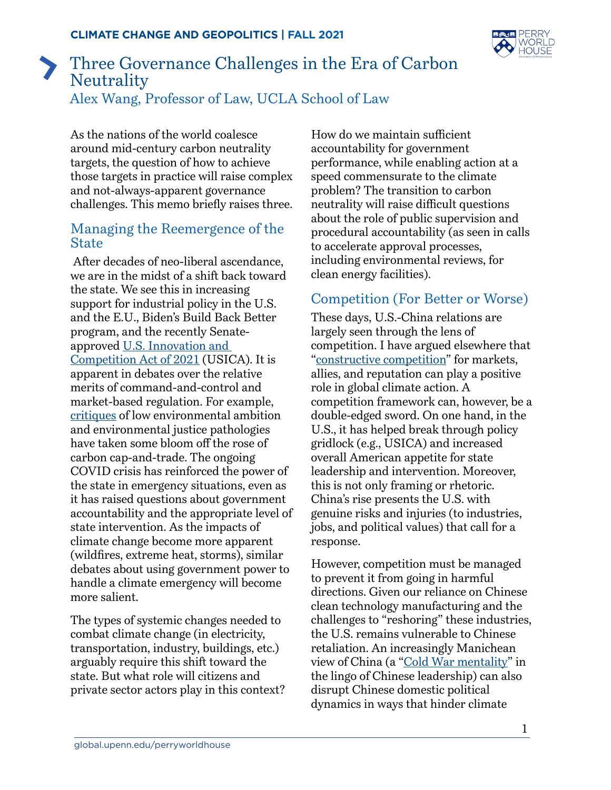

## Three Governance Challenges in the Era of Carbon **Neutrality** Alex Wang, Professor of Law, UCLA School of Law

As the nations of the world coalesce around mid-century carbon neutrality targets, the question of how to achieve those targets in practice will raise complex and not-always-apparent governance challenges. This memo briefly raises three.

## Managing the Reemergence of the State

 After decades of neo-liberal ascendance, we are in the midst of a shift back toward the state. We see this in increasing support for industrial policy in the U.S. and the E.U., Biden's Build Back Better program, and the recently Senateapproved [U.S. Innovation and](https://www.congress.gov/bill/117th-congress/senate-bill/1260/text)  [Competition Act of 2021](https://www.congress.gov/bill/117th-congress/senate-bill/1260/text) (USICA). It is apparent in debates over the relative merits of command-and-control and market-based regulation. For example, [critiques](https://www.volts.wtf/p/cap-and-trade-systems-are-not-doing) of low environmental ambition and environmental justice pathologies have taken some bloom off the rose of carbon cap-and-trade. The ongoing COVID crisis has reinforced the power of the state in emergency situations, even as it has raised questions about government accountability and the appropriate level of state intervention. As the impacts of climate change become more apparent (wildfires, extreme heat, storms), similar debates about using government power to handle a climate emergency will become more salient.

The types of systemic changes needed to combat climate change (in electricity, transportation, industry, buildings, etc.) arguably require this shift toward the state. But what role will citizens and private sector actors play in this context?

How do we maintain sufficient accountability for government performance, while enabling action at a speed commensurate to the climate problem? The transition to carbon neutrality will raise difficult questions about the role of public supervision and procedural accountability (as seen in calls to accelerate approval processes, including environmental reviews, for clean energy facilities).

## Competition (For Better or Worse)

These days, U.S.-China relations are largely seen through the lens of competition. I have argued elsewhere that "[constructive competition](https://papers.ssrn.com/sol3/papers.cfm?abstract_id=3826681)" for markets, allies, and reputation can play a positive role in global climate action. A competition framework can, however, be a double-edged sword. On one hand, in the U.S., it has helped break through policy gridlock (e.g., USICA) and increased overall American appetite for state leadership and intervention. Moreover, this is not only framing or rhetoric. China's rise presents the U.S. with genuine risks and injuries (to industries, jobs, and political values) that call for a response.

However, competition must be managed to prevent it from going in harmful directions. Given our reliance on Chinese clean technology manufacturing and the challenges to "reshoring" these industries, the U.S. remains vulnerable to Chinese retaliation. An increasingly Manichean view of China (a "[Cold War mentality"](https://www.globaltimes.cn/page/202104/1220192.shtml) in the lingo of Chinese leadership) can also disrupt Chinese domestic political dynamics in ways that hinder climate